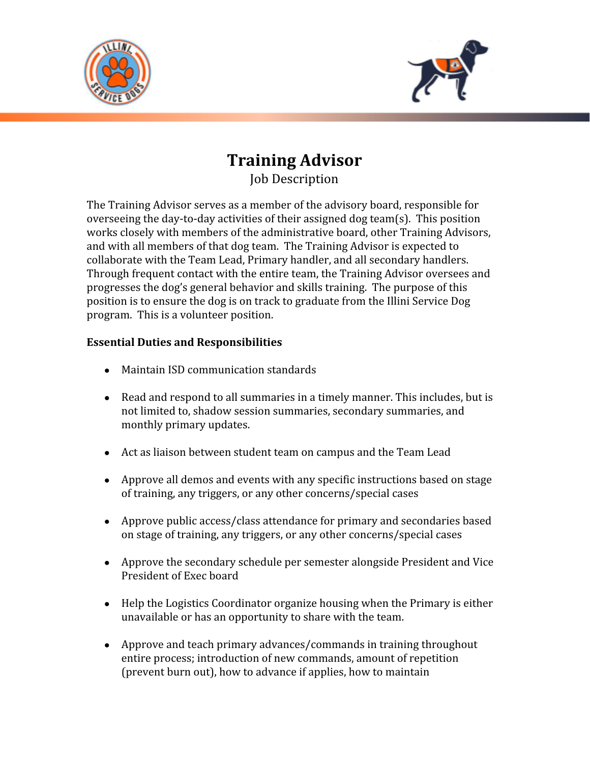



## **Training Advisor** Job Description

The Training Advisor serves as a member of the advisory board, responsible for overseeing the day-to-day activities of their assigned dog team(s). This position works closely with members of the administrative board, other Training Advisors, and with all members of that dog team. The Training Advisor is expected to collaborate with the Team Lead, Primary handler, and all secondary handlers. Through frequent contact with the entire team, the Training Advisor oversees and progresses the dog's general behavior and skills training. The purpose of this position is to ensure the dog is on track to graduate from the Illini Service Dog program. This is a volunteer position.

## **Essential Duties and Responsibilities**

- Maintain ISD communication standards
- Read and respond to all summaries in a timely manner. This includes, but is not limited to, shadow session summaries, secondary summaries, and monthly primary updates.
- Act as liaison between student team on campus and the Team Lead
- Approve all demos and events with any specific instructions based on stage of training, any triggers, or any other concerns/special cases
- Approve public access/class attendance for primary and secondaries based on stage of training, any triggers, or any other concerns/special cases
- Approve the secondary schedule per semester alongside President and Vice President of Exec board
- Help the Logistics Coordinator organize housing when the Primary is either unavailable or has an opportunity to share with the team.
- Approve and teach primary advances/commands in training throughout entire process; introduction of new commands, amount of repetition (prevent burn out), how to advance if applies, how to maintain